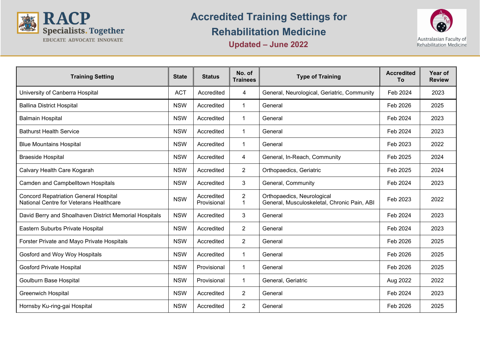

## **Accredited Training Settings for Rehabilitation Medicine**



**Updated – June 2022**

| <b>Training Setting</b>                                                                 | <b>State</b> | <b>Status</b>             | No. of<br><b>Trainees</b> | <b>Type of Training</b>                                                   | <b>Accredited</b><br>To | Year of<br><b>Review</b> |
|-----------------------------------------------------------------------------------------|--------------|---------------------------|---------------------------|---------------------------------------------------------------------------|-------------------------|--------------------------|
| University of Canberra Hospital                                                         | <b>ACT</b>   | Accredited                | $\overline{4}$            | General, Neurological, Geriatric, Community                               | Feb 2024                | 2023                     |
| <b>Ballina District Hospital</b>                                                        | <b>NSW</b>   | Accredited                | $\mathbf{1}$              | General                                                                   | Feb 2026                | 2025                     |
| <b>Balmain Hospital</b>                                                                 | <b>NSW</b>   | Accredited                | $\mathbf 1$               | General                                                                   | Feb 2024                | 2023                     |
| <b>Bathurst Health Service</b>                                                          | <b>NSW</b>   | Accredited                | $\mathbf 1$               | General                                                                   | Feb 2024                | 2023                     |
| <b>Blue Mountains Hospital</b>                                                          | <b>NSW</b>   | Accredited                | $\mathbf{1}$              | General                                                                   | Feb 2023                | 2022                     |
| <b>Braeside Hospital</b>                                                                | <b>NSW</b>   | Accredited                | 4                         | General, In-Reach, Community                                              | Feb 2025                | 2024                     |
| Calvary Health Care Kogarah                                                             | <b>NSW</b>   | Accredited                | $\overline{2}$            | Orthopaedics, Geriatric                                                   | Feb 2025                | 2024                     |
| Camden and Campbelltown Hospitals                                                       | <b>NSW</b>   | Accredited                | 3                         | General, Community                                                        | Feb 2024                | 2023                     |
| <b>Concord Repatriation General Hospital</b><br>National Centre for Veterans Healthcare | <b>NSW</b>   | Accredited<br>Provisional | $\overline{2}$<br>1       | Orthopaedics, Neurological<br>General, Musculoskeletal, Chronic Pain, ABI | Feb 2023                | 2022                     |
| David Berry and Shoalhaven District Memorial Hospitals                                  | <b>NSW</b>   | Accredited                | 3                         | General                                                                   | Feb 2024                | 2023                     |
| Eastern Suburbs Private Hospital                                                        | <b>NSW</b>   | Accredited                | $\overline{2}$            | General                                                                   | Feb 2024                | 2023                     |
| Forster Private and Mayo Private Hospitals                                              | <b>NSW</b>   | Accredited                | $\overline{2}$            | General                                                                   | Feb 2026                | 2025                     |
| Gosford and Woy Woy Hospitals                                                           | <b>NSW</b>   | Accredited                | $\mathbf 1$               | General                                                                   | Feb 2026                | 2025                     |
| <b>Gosford Private Hospital</b>                                                         | <b>NSW</b>   | Provisional               | $\mathbf 1$               | General                                                                   | Feb 2026                | 2025                     |
| Goulburn Base Hospital                                                                  | <b>NSW</b>   | Provisional               | $\mathbf 1$               | General, Geriatric                                                        | Aug 2022                | 2022                     |
| <b>Greenwich Hospital</b>                                                               | <b>NSW</b>   | Accredited                | $\overline{2}$            | General                                                                   | Feb 2024                | 2023                     |
| Hornsby Ku-ring-gai Hospital                                                            | <b>NSW</b>   | Accredited                | 2                         | General                                                                   | Feb 2026                | 2025                     |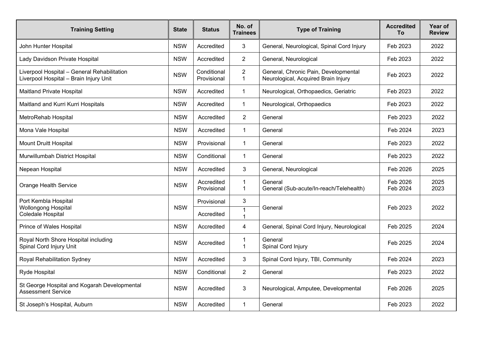| <b>Training Setting</b>                                                               | <b>State</b> | <b>Status</b>              | No. of<br><b>Trainees</b>      | <b>Type of Training</b>                                                     | <b>Accredited</b><br>To | Year of<br><b>Review</b> |
|---------------------------------------------------------------------------------------|--------------|----------------------------|--------------------------------|-----------------------------------------------------------------------------|-------------------------|--------------------------|
| John Hunter Hospital                                                                  | <b>NSW</b>   | Accredited                 | 3                              | General, Neurological, Spinal Cord Injury                                   | Feb 2023                | 2022                     |
| Lady Davidson Private Hospital                                                        | <b>NSW</b>   | Accredited                 | $\overline{2}$                 | General, Neurological                                                       | Feb 2023                | 2022                     |
| Liverpool Hospital - General Rehabilitation<br>Liverpool Hospital - Brain Injury Unit | <b>NSW</b>   | Conditional<br>Provisional | $\overline{2}$<br>1            | General, Chronic Pain, Developmental<br>Neurological, Acquired Brain Injury | Feb 2023                | 2022                     |
| <b>Maitland Private Hospital</b>                                                      | <b>NSW</b>   | Accredited                 | $\mathbf 1$                    | Neurological, Orthopaedics, Geriatric                                       | Feb 2023                | 2022                     |
| Maitland and Kurri Kurri Hospitals                                                    | <b>NSW</b>   | Accredited                 | $\mathbf{1}$                   | Neurological, Orthopaedics                                                  | Feb 2023                | 2022                     |
| MetroRehab Hospital                                                                   | <b>NSW</b>   | Accredited                 | 2                              | General                                                                     | Feb 2023                | 2022                     |
| Mona Vale Hospital                                                                    | <b>NSW</b>   | Accredited                 | $\mathbf{1}$                   | General                                                                     | Feb 2024                | 2023                     |
| <b>Mount Druitt Hospital</b>                                                          | <b>NSW</b>   | Provisional                | $\mathbf{1}$                   | General                                                                     | Feb 2023                | 2022                     |
| Murwillumbah District Hospital                                                        | <b>NSW</b>   | Conditional                | $\overline{1}$                 | General                                                                     | Feb 2023                | 2022                     |
| Nepean Hospital                                                                       | <b>NSW</b>   | Accredited                 | 3                              | General, Neurological                                                       | Feb 2026                | 2025                     |
| <b>Orange Health Service</b>                                                          | <b>NSW</b>   | Accredited<br>Provisional  | $\mathbf{1}$<br>$\mathbf{1}$   | General<br>General (Sub-acute/In-reach/Telehealth)                          | Feb 2026<br>Feb 2024    | 2025<br>2023             |
| Port Kembla Hospital<br><b>Wollongong Hospital</b>                                    | <b>NSW</b>   | Provisional                | 3                              | General                                                                     | Feb 2023                | 2022                     |
| Coledale Hospital                                                                     |              | Accredited                 | $\mathbf{1}$<br>$\overline{1}$ |                                                                             |                         |                          |
| Prince of Wales Hospital                                                              | <b>NSW</b>   | Accredited                 | 4                              | General, Spinal Cord Injury, Neurological                                   | Feb 2025                | 2024                     |
| Royal North Shore Hospital including<br>Spinal Cord Injury Unit                       | <b>NSW</b>   | Accredited                 | -1<br>$\overline{1}$           | General<br>Spinal Cord Injury                                               | Feb 2025                | 2024                     |
| <b>Royal Rehabilitation Sydney</b>                                                    | <b>NSW</b>   | Accredited                 | 3                              | Spinal Cord Injury, TBI, Community                                          | Feb 2024                | 2023                     |
| Ryde Hospital                                                                         | <b>NSW</b>   | Conditional                | $\overline{2}$                 | General                                                                     | Feb 2023                | 2022                     |
| St George Hospital and Kogarah Developmental<br><b>Assessment Service</b>             | <b>NSW</b>   | Accredited                 | 3                              | Neurological, Amputee, Developmental                                        | Feb 2026                | 2025                     |
| St Joseph's Hospital, Auburn                                                          | <b>NSW</b>   | Accredited                 | $\mathbf{1}$                   | General                                                                     | Feb 2023                | 2022                     |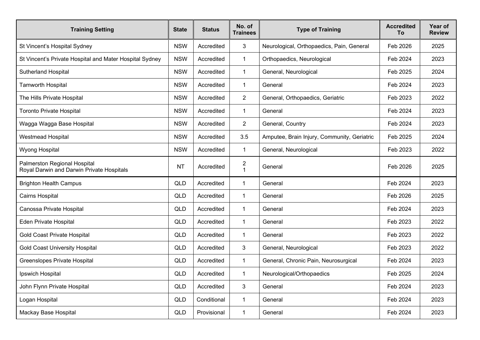| <b>Training Setting</b>                                                   | <b>State</b> | <b>Status</b> | No. of<br><b>Trainees</b> | <b>Type of Training</b>                     | <b>Accredited</b><br>To | Year of<br><b>Review</b> |
|---------------------------------------------------------------------------|--------------|---------------|---------------------------|---------------------------------------------|-------------------------|--------------------------|
| St Vincent's Hospital Sydney                                              | <b>NSW</b>   | Accredited    | 3                         | Neurological, Orthopaedics, Pain, General   | Feb 2026                | 2025                     |
| St Vincent's Private Hospital and Mater Hospital Sydney                   | <b>NSW</b>   | Accredited    | $\mathbf{1}$              | Orthopaedics, Neurological                  | Feb 2024                | 2023                     |
| Sutherland Hospital                                                       | <b>NSW</b>   | Accredited    | $\mathbf{1}$              | General, Neurological                       | Feb 2025                | 2024                     |
| <b>Tamworth Hospital</b>                                                  | <b>NSW</b>   | Accredited    | $\mathbf 1$               | General                                     | Feb 2024                | 2023                     |
| The Hills Private Hospital                                                | <b>NSW</b>   | Accredited    | $\overline{2}$            | General, Orthopaedics, Geriatric            | Feb 2023                | 2022                     |
| <b>Toronto Private Hospital</b>                                           | <b>NSW</b>   | Accredited    | $\mathbf{1}$              | General                                     | Feb 2024                | 2023                     |
| Wagga Wagga Base Hospital                                                 | <b>NSW</b>   | Accredited    | $\overline{2}$            | General, Country                            | Feb 2024                | 2023                     |
| <b>Westmead Hospital</b>                                                  | <b>NSW</b>   | Accredited    | 3.5                       | Amputee, Brain Injury, Community, Geriatric | Feb 2025                | 2024                     |
| Wyong Hospital                                                            | <b>NSW</b>   | Accredited    | $\mathbf{1}$              | General, Neurological                       | Feb 2023                | 2022                     |
| Palmerston Regional Hospital<br>Royal Darwin and Darwin Private Hospitals | <b>NT</b>    | Accredited    | $\frac{2}{1}$             | General                                     | Feb 2026                | 2025                     |
| <b>Brighton Health Campus</b>                                             | QLD          | Accredited    | 1                         | General                                     | Feb 2024                | 2023                     |
| Cairns Hospital                                                           | QLD          | Accredited    | $\mathbf{1}$              | General                                     | Feb 2026                | 2025                     |
| Canossa Private Hospital                                                  | QLD          | Accredited    | 1                         | General                                     | Feb 2024                | 2023                     |
| Eden Private Hospital                                                     | QLD          | Accredited    | 1                         | General                                     | Feb 2023                | 2022                     |
| <b>Gold Coast Private Hospital</b>                                        | QLD          | Accredited    | $\mathbf{1}$              | General                                     | Feb 2023                | 2022                     |
| <b>Gold Coast University Hospital</b>                                     | QLD          | Accredited    | 3                         | General, Neurological                       | Feb 2023                | 2022                     |
| Greenslopes Private Hospital                                              | QLD          | Accredited    | $\mathbf{1}$              | General, Chronic Pain, Neurosurgical        | Feb 2024                | 2023                     |
| Ipswich Hospital                                                          | QLD          | Accredited    |                           | Neurological/Orthopaedics                   | Feb 2025                | 2024                     |
| John Flynn Private Hospital                                               | QLD          | Accredited    | 3                         | General                                     | Feb 2024                | 2023                     |
| Logan Hospital                                                            | QLD          | Conditional   | $\mathbf{1}$              | General                                     | Feb 2024                | 2023                     |
| Mackay Base Hospital                                                      | QLD          | Provisional   | $\mathbf{1}$              | General                                     | Feb 2024                | 2023                     |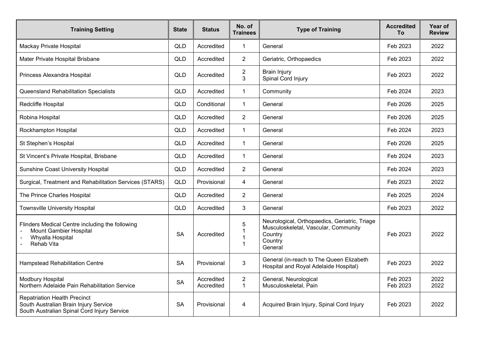| <b>Training Setting</b>                                                                                                     | <b>State</b> | <b>Status</b>            | No. of<br><b>Trainees</b>      | <b>Type of Training</b>                                                                                                | <b>Accredited</b><br>To | Year of<br><b>Review</b> |
|-----------------------------------------------------------------------------------------------------------------------------|--------------|--------------------------|--------------------------------|------------------------------------------------------------------------------------------------------------------------|-------------------------|--------------------------|
| Mackay Private Hospital                                                                                                     | QLD          | Accredited               | $\mathbf{1}$                   | General                                                                                                                | Feb 2023                | 2022                     |
| Mater Private Hospital Brisbane                                                                                             | QLD          | Accredited               | $\overline{2}$                 | Geriatric, Orthopaedics                                                                                                | Feb 2023                | 2022                     |
| Princess Alexandra Hospital                                                                                                 | QLD          | Accredited               | $\overline{c}$<br>3            | <b>Brain Injury</b><br>Spinal Cord Injury                                                                              | Feb 2023                | 2022                     |
| Queensland Rehabilitation Specialists                                                                                       | <b>QLD</b>   | Accredited               | 1                              | Community                                                                                                              | Feb 2024                | 2023                     |
| Redcliffe Hospital                                                                                                          | QLD          | Conditional              | 1                              | General                                                                                                                | Feb 2026                | 2025                     |
| Robina Hospital                                                                                                             | QLD          | Accredited               | $\overline{2}$                 | General                                                                                                                | Feb 2026                | 2025                     |
| Rockhampton Hospital                                                                                                        | <b>QLD</b>   | Accredited               | $\mathbf{1}$                   | General                                                                                                                | Feb 2024                | 2023                     |
| St Stephen's Hospital                                                                                                       | QLD          | Accredited               | 1                              | General                                                                                                                | Feb 2026                | 2025                     |
| St Vincent's Private Hospital, Brisbane                                                                                     | <b>QLD</b>   | Accredited               | 1                              | General                                                                                                                | Feb 2024                | 2023                     |
| <b>Sunshine Coast University Hospital</b>                                                                                   | QLD          | Accredited               | $\overline{2}$                 | General                                                                                                                | Feb 2024                | 2023                     |
| Surgical, Treatment and Rehabilitation Services (STARS)                                                                     | QLD          | Provisional              | 4                              | General                                                                                                                | Feb 2023                | 2022                     |
| The Prince Charles Hospital                                                                                                 | QLD          | Accredited               | $\overline{2}$                 | General                                                                                                                | Feb 2025                | 2024                     |
| <b>Townsville University Hospital</b>                                                                                       | <b>QLD</b>   | Accredited               | 3                              | General                                                                                                                | Feb 2023                | 2022                     |
| Flinders Medical Centre including the following<br><b>Mount Gambier Hospital</b><br>Whyalla Hospital<br>Rehab Vita          | <b>SA</b>    | Accredited               | 5<br>1<br>1<br>1               | Neurological, Orthopaedics, Geriatric, Triage<br>Musculoskeletal, Vascular, Community<br>Country<br>Country<br>General | Feb 2023                | 2022                     |
| <b>Hampstead Rehabilitation Centre</b>                                                                                      | <b>SA</b>    | Provisional              | 3                              | General (in-reach to The Queen Elizabeth<br>Hospital and Royal Adelaide Hospital)                                      | Feb 2023                | 2022                     |
| Modbury Hospital<br>Northern Adelaide Pain Rehabilitation Service                                                           | <b>SA</b>    | Accredited<br>Accredited | $\overline{2}$<br>$\mathbf{1}$ | General, Neurological<br>Musculoskeletal, Pain                                                                         | Feb 2023<br>Feb 2023    | 2022<br>2022             |
| <b>Repatriation Health Precinct</b><br>South Australian Brain Injury Service<br>South Australian Spinal Cord Injury Service | <b>SA</b>    | Provisional              | 4                              | Acquired Brain Injury, Spinal Cord Injury                                                                              | Feb 2023                | 2022                     |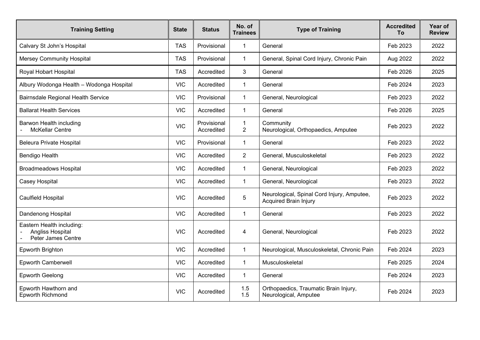| <b>Training Setting</b>                                                    | <b>State</b> | <b>Status</b>             | No. of<br><b>Trainees</b>      | <b>Type of Training</b>                                                    | <b>Accredited</b><br>Τo | <b>Year of</b><br><b>Review</b> |
|----------------------------------------------------------------------------|--------------|---------------------------|--------------------------------|----------------------------------------------------------------------------|-------------------------|---------------------------------|
| Calvary St John's Hospital                                                 | <b>TAS</b>   | Provisional               | $\mathbf{1}$                   | General                                                                    | Feb 2023                | 2022                            |
| <b>Mersey Community Hospital</b>                                           | <b>TAS</b>   | Provisional               | $\mathbf 1$                    | General, Spinal Cord Injury, Chronic Pain                                  | Aug 2022                | 2022                            |
| Royal Hobart Hospital                                                      | <b>TAS</b>   | Accredited                | 3                              | General                                                                    | Feb 2026                | 2025                            |
| Albury Wodonga Health - Wodonga Hospital                                   | <b>VIC</b>   | Accredited                | $\mathbf 1$                    | General                                                                    | Feb 2024                | 2023                            |
| <b>Bairnsdale Regional Health Service</b>                                  | <b>VIC</b>   | Provisional               | $\mathbf{1}$                   | General, Neurological                                                      | Feb 2023                | 2022                            |
| <b>Ballarat Health Services</b>                                            | <b>VIC</b>   | Accredited                | $\mathbf{1}$                   | General                                                                    | Feb 2026                | 2025                            |
| <b>Barwon Health including</b><br><b>McKellar Centre</b>                   | <b>VIC</b>   | Provisional<br>Accredited | $\mathbf{1}$<br>$\overline{2}$ | Community<br>Neurological, Orthopaedics, Amputee                           | Feb 2023                | 2022                            |
| <b>Beleura Private Hospital</b>                                            | <b>VIC</b>   | Provisional               | $\mathbf{1}$                   | General                                                                    | Feb 2023                | 2022                            |
| Bendigo Health                                                             | <b>VIC</b>   | Accredited                | 2                              | General, Musculoskeletal                                                   | Feb 2023                | 2022                            |
| <b>Broadmeadows Hospital</b>                                               | <b>VIC</b>   | Accredited                | $\mathbf{1}$                   | General, Neurological                                                      | Feb 2023                | 2022                            |
| Casey Hospital                                                             | <b>VIC</b>   | Accredited                | $\mathbf{1}$                   | General, Neurological                                                      | Feb 2023                | 2022                            |
| Caulfield Hospital                                                         | <b>VIC</b>   | Accredited                | $\overline{5}$                 | Neurological, Spinal Cord Injury, Amputee,<br><b>Acquired Brain Injury</b> | Feb 2023                | 2022                            |
| <b>Dandenong Hospital</b>                                                  | <b>VIC</b>   | Accredited                | $\overline{1}$                 | General                                                                    | Feb 2023                | 2022                            |
| Eastern Health including:<br><b>Angliss Hospital</b><br>Peter James Centre | <b>VIC</b>   | Accredited                | 4                              | General, Neurological                                                      | Feb 2023                | 2022                            |
| Epworth Brighton                                                           | <b>VIC</b>   | Accredited                | $\mathbf{1}$                   | Neurological, Musculoskeletal, Chronic Pain                                | Feb 2024                | 2023                            |
| <b>Epworth Camberwell</b>                                                  | <b>VIC</b>   | Accredited                | $\mathbf{1}$                   | Musculoskeletal                                                            | Feb 2025                | 2024                            |
| <b>Epworth Geelong</b>                                                     | <b>VIC</b>   | Accredited                | $\mathbf{1}$                   | General                                                                    | Feb 2024                | 2023                            |
| Epworth Hawthorn and<br>Epworth Richmond                                   | <b>VIC</b>   | Accredited                | 1.5<br>1.5                     | Orthopaedics, Traumatic Brain Injury,<br>Neurological, Amputee             | Feb 2024                | 2023                            |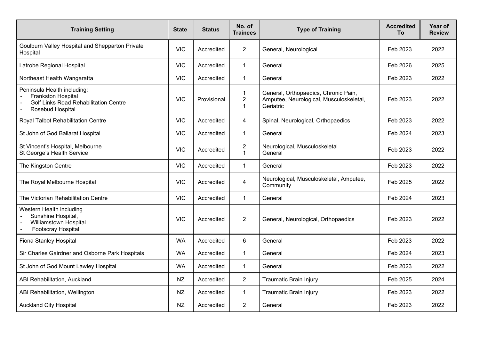| <b>Training Setting</b>                                                                                               | <b>State</b> | <b>Status</b> | No. of<br><b>Trainees</b>                          | <b>Type of Training</b>                                                                      | <b>Accredited</b><br>To | Year of<br><b>Review</b> |
|-----------------------------------------------------------------------------------------------------------------------|--------------|---------------|----------------------------------------------------|----------------------------------------------------------------------------------------------|-------------------------|--------------------------|
| Goulburn Valley Hospital and Shepparton Private<br>Hospital                                                           | <b>VIC</b>   | Accredited    | $\overline{2}$                                     | General, Neurological                                                                        | Feb 2023                | 2022                     |
| Latrobe Regional Hospital                                                                                             | <b>VIC</b>   | Accredited    | $\mathbf{1}$                                       | General                                                                                      | Feb 2026                | 2025                     |
| Northeast Health Wangaratta                                                                                           | <b>VIC</b>   | Accredited    | $\mathbf{1}$                                       | General                                                                                      | Feb 2023                | 2022                     |
| Peninsula Health including:<br>Frankston Hospital<br><b>Golf Links Road Rehabilitation Centre</b><br>Rosebud Hospital | <b>VIC</b>   | Provisional   | $\overline{1}$<br>$\overline{2}$<br>$\overline{1}$ | General, Orthopaedics, Chronic Pain,<br>Amputee, Neurological, Musculoskeletal,<br>Geriatric | Feb 2023                | 2022                     |
| Royal Talbot Rehabilitation Centre                                                                                    | <b>VIC</b>   | Accredited    | 4                                                  | Spinal, Neurological, Orthopaedics                                                           | Feb 2023                | 2022                     |
| St John of God Ballarat Hospital                                                                                      | <b>VIC</b>   | Accredited    | $\mathbf{1}$                                       | General                                                                                      | Feb 2024                | 2023                     |
| St Vincent's Hospital, Melbourne<br>St George's Health Service                                                        | <b>VIC</b>   | Accredited    | $\overline{c}$<br>$\overline{1}$                   | Neurological, Musculoskeletal<br>General                                                     | Feb 2023                | 2022                     |
| The Kingston Centre                                                                                                   | <b>VIC</b>   | Accredited    | $\mathbf{1}$                                       | General                                                                                      | Feb 2023                | 2022                     |
| The Royal Melbourne Hospital                                                                                          | <b>VIC</b>   | Accredited    | $\overline{4}$                                     | Neurological, Musculoskeletal, Amputee,<br>Community                                         | Feb 2025                | 2022                     |
| The Victorian Rehabilitation Centre                                                                                   | <b>VIC</b>   | Accredited    | $\mathbf{1}$                                       | General                                                                                      | Feb 2024                | 2023                     |
| Western Health including<br>Sunshine Hospital,<br><b>Williamstown Hospital</b><br>Footscray Hospital                  | <b>VIC</b>   | Accredited    | 2                                                  | General, Neurological, Orthopaedics                                                          | Feb 2023                | 2022                     |
| Fiona Stanley Hospital                                                                                                | <b>WA</b>    | Accredited    | 6                                                  | General                                                                                      | Feb 2023                | 2022                     |
| Sir Charles Gairdner and Osborne Park Hospitals                                                                       | <b>WA</b>    | Accredited    | $\mathbf{1}$                                       | General                                                                                      | Feb 2024                | 2023                     |
| St John of God Mount Lawley Hospital                                                                                  | <b>WA</b>    | Accredited    | $\mathbf{1}$                                       | General                                                                                      | Feb 2023                | 2022                     |
| ABI Rehabilitation, Auckland                                                                                          | <b>NZ</b>    | Accredited    | $\overline{2}$                                     | <b>Traumatic Brain Injury</b>                                                                | Feb 2025                | 2024                     |
| ABI Rehabilitation, Wellington                                                                                        | <b>NZ</b>    | Accredited    | $\mathbf{1}$                                       | Traumatic Brain Injury                                                                       | Feb 2023                | 2022                     |
| <b>Auckland City Hospital</b>                                                                                         | <b>NZ</b>    | Accredited    | 2                                                  | General                                                                                      | Feb 2023                | 2022                     |